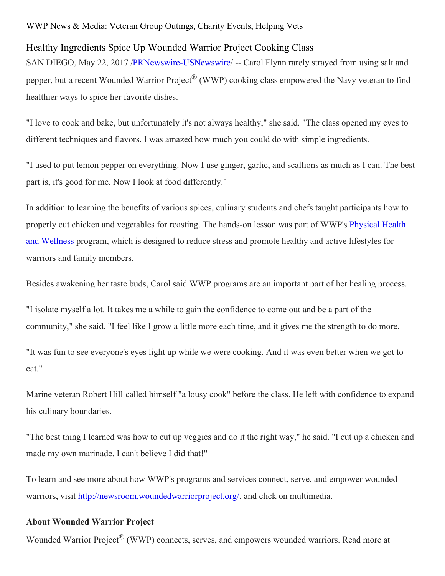## WWP News & Media: Veteran Group Outings, Charity Events, Helping Vets

## Healthy Ingredients Spice Up Wounded Warrior Project Cooking Class

SAN DIEGO, May 22, 2017 [/PRNewswire-USNewswire](http://www.prnewswire.com/)/ -- Carol Flynn rarely strayed from using salt and pepper, but a recent Wounded Warrior Project® (WWP) cooking class empowered the Navy veteran to find healthier ways to spice her favorite dishes.

"I love to cook and bake, but unfortunately it's not always healthy," she said. "The class opened my eyes to different techniques and flavors. I was amazed how much you could do with simple ingredients.

"I used to put lemon pepper on everything. Now I use ginger, garlic, and scallions as much as I can. The best part is, it's good for me. Now I look at food differently."

In addition to learning the benefits of various spices, culinary students and chefs taught participants how to properly cut chicken and [vegetables](https://www.woundedwarriorproject.org/programs/physical-health-wellness) for roasting. The hands-on lesson was part of WWP's Physical Health and Wellness program, which is designed to reduce stress and promote healthy and active lifestyles for warriors and family members.

Besides awakening her taste buds, Carol said WWP programs are an important part of her healing process.

"I isolate myself a lot. It takes me a while to gain the confidence to come out and be a part of the community," she said. "I feel like I grow a little more each time, and it gives me the strength to do more.

"It was fun to see everyone's eyes light up while we were cooking. And it was even better when we got to eat."

Marine veteran Robert Hill called himself "a lousy cook" before the class. He left with confidence to expand his culinary boundaries.

"The best thing I learned was how to cut up veggies and do it the right way," he said. "I cut up a chicken and made my own marinade. I can't believe I did that!"

To learn and see more about how WWP's programs and services connect, serve, and empower wounded warriors, visit <http://newsroom.woundedwarriorproject.org/>, and click on multimedia.

## **About Wounded Warrior Project**

Wounded Warrior Project<sup>®</sup> (WWP) connects, serves, and empowers wounded warriors. Read more at